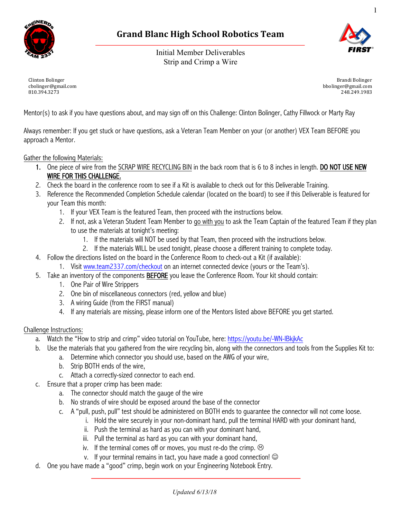

Initial Member Deliverables Strip and Crimp a Wire



1

Clinton Bolinger cbolinger@gmail.com 810.394.3273

Brandi Bolinger bbolinger@gmail.com 248.249.1983

Mentor(s) to ask if you have questions about, and may sign off on this Challenge: Clinton Bolinger, Cathy Fillwock or Marty Ray

Always remember: If you get stuck or have questions, ask a Veteran Team Member on your (or another) VEX Team BEFORE you approach a Mentor.

#### Gather the following Materials:

- 1. One piece of wire from the SCRAP WIRE RECYCLING BIN in the back room that is 6 to 8 inches in length. DO NOT USE NEW WIRE FOR THIS CHALLENGE.
- 2. Check the board in the conference room to see if a Kit is available to check out for this Deliverable Training.
- 3. Reference the Recommended Completion Schedule calendar (located on the board) to see if this Deliverable is featured for your Team this month:
	- 1. If your VEX Team is the featured Team, then proceed with the instructions below.
	- 2. If not, ask a Veteran Student Team Member to go with you to ask the Team Captain of the featured Team if they plan to use the materials at tonight's meeting:
		- 1. If the materials will NOT be used by that Team, then proceed with the instructions below.
		- 2. If the materials WILL be used tonight, please choose a different training to complete today.
- 4. Follow the directions listed on the board in the Conference Room to check-out a Kit (if available):
	- 1. Visit www.team2337.com/checkout on an internet connected device (yours or the Team's).
- 5. Take an inventory of the components BEFORE you leave the Conference Room. Your kit should contain:
	- 1. One Pair of Wire Strippers
	- 2. One bin of miscellaneous connectors (red, yellow and blue)
	- 3. A wiring Guide (from the FIRST manual)
	- 4. If any materials are missing, please inform one of the Mentors listed above BEFORE you get started.

#### Challenge Instructions:

- a. Watch the "How to strip and crimp" video tutorial on YouTube, here: https://youtu.be/-WN-IBkjkAc
- b. Use the materials that you gathered from the wire recycling bin, along with the connectors and tools from the Supplies Kit to:
	- a. Determine which connector you should use, based on the AWG of your wire,
	- b. Strip BOTH ends of the wire,
	- c. Attach a correctly-sized connector to each end.
- c. Ensure that a proper crimp has been made:
	- a. The connector should match the gauge of the wire
	- b. No strands of wire should be exposed around the base of the connector
	- c. A "pull, push, pull" test should be administered on BOTH ends to guarantee the connector will not come loose.
		- i. Hold the wire securely in your non-dominant hand, pull the terminal HARD with your dominant hand,
			- ii. Push the terminal as hard as you can with your dominant hand,
		- iii. Pull the terminal as hard as you can with your dominant hand,
		- iv. If the terminal comes off or moves, you must re-do the crimp.  $\odot$
		- v. If your terminal remains in tact, you have made a good connection!  $\odot$
- d. One you have made a "good" crimp, begin work on your Engineering Notebook Entry.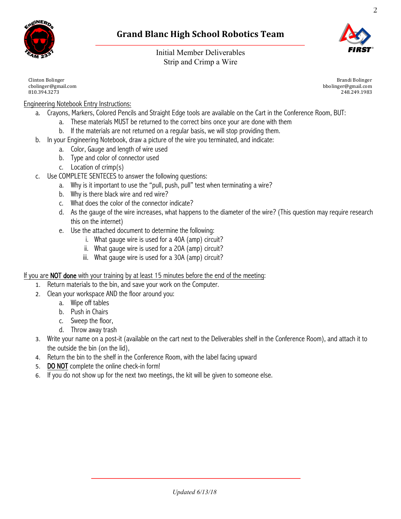

2

Initial Member Deliverables Strip and Crimp a Wire

Clinton Bolinger cbolinger@gmail.com 810.394.3273

Brandi Bolinger bbolinger@gmail.com 248.249.1983

# Engineering Notebook Entry Instructions:

- a. Crayons, Markers, Colored Pencils and Straight Edge tools are available on the Cart in the Conference Room, BUT:
	- a. These materials MUST be returned to the correct bins once your are done with them
	- b. If the materials are not returned on a regular basis, we will stop providing them.
- b. In your Engineering Notebook, draw a picture of the wire you terminated, and indicate:
	- a. Color, Gauge and length of wire used
	- b. Type and color of connector used
	- c. Location of crimp(s)
- c. Use COMPLETE SENTECES to answer the following questions:
	- a. Why is it important to use the "pull, push, pull" test when terminating a wire?
	- b. Why is there black wire and red wire?
	- c. What does the color of the connector indicate?
	- d. As the gauge of the wire increases, what happens to the diameter of the wire? (This question may require research this on the internet)
	- e. Use the attached document to determine the following:
		- i. What gauge wire is used for a 40A (amp) circuit?
		- ii. What gauge wire is used for a 20A (amp) circuit?
		- iii. What gauge wire is used for a 30A (amp) circuit?

### If you are **NOT done** with your training by at least 15 minutes before the end of the meeting:

- 1. Return materials to the bin, and save your work on the Computer.
- 2. Clean your workspace AND the floor around you:
	- a. Wipe off tables
	- b. Push in Chairs
	- c. Sweep the floor,
	- d. Throw away trash
- 3. Write your name on a post-it (available on the cart next to the Deliverables shelf in the Conference Room), and attach it to the outside the bin (on the lid),
- 4. Return the bin to the shelf in the Conference Room, with the label facing upward
- 5. DO NOT complete the online check-in form!
- 6. If you do not show up for the next two meetings, the kit will be given to someone else.